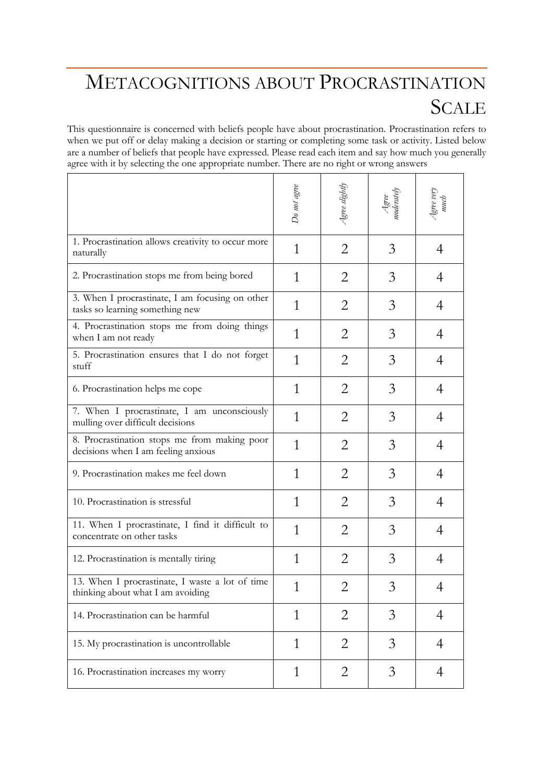## METACOGNITIONS ABOUT PROCRASTINATION **SCALE**

This questionnaire is concerned with beliefs people have about procrastination. Procrastination refers to when we put off or delay making a decision or starting or completing some task or activity. Listed below are a number of beliefs that people have expressed. Please read each item and say how much you generally agree with it by selecting the one appropriate number. There are no right or wrong answers

|                                                                                      | Do not agree | Agree slightly | Agree<br>moderately | Agree very<br>much |
|--------------------------------------------------------------------------------------|--------------|----------------|---------------------|--------------------|
| 1. Procrastination allows creativity to occur more<br>naturally                      | 1            | 2              | 3                   | 4                  |
| 2. Procrastination stops me from being bored                                         | 1            | 2              | 3                   | $\overline{4}$     |
| 3. When I procrastinate, I am focusing on other<br>tasks so learning something new   | 1            | 2              | 3                   | 4                  |
| 4. Procrastination stops me from doing things<br>when I am not ready                 | 1            | 2              | 3                   | 4                  |
| 5. Procrastination ensures that I do not forget<br>stuff                             | 1            | 2              | 3                   | 4                  |
| 6. Procrastination helps me cope                                                     | 1            | 2              | 3                   | $\overline{4}$     |
| 7. When I procrastinate, I am unconsciously<br>mulling over difficult decisions      | 1            | 2              | 3                   | 4                  |
| 8. Procrastination stops me from making poor<br>decisions when I am feeling anxious  | 1            | 2              | 3                   | 4                  |
| 9. Procrastination makes me feel down                                                | 1            | 2              | 3                   | 4                  |
| 10. Procrastination is stressful                                                     | 1            | 2              | 3                   | 4                  |
| 11. When I procrastinate, I find it difficult to<br>concentrate on other tasks       | 1            | $\overline{2}$ | 3                   | $\overline{4}$     |
| 12. Procrastination is mentally tiring                                               | 1            | 2              | 3                   | 4                  |
| 13. When I procrastinate, I waste a lot of time<br>thinking about what I am avoiding | 1            | 2              | 3                   | 4                  |
| 14. Procrastination can be harmful                                                   | $\mathbf{1}$ | 2              | 3                   | $\overline{4}$     |
| 15. My procrastination is uncontrollable                                             | $\mathbf{1}$ | 2              | $\mathfrak{Z}$      | 4                  |
| 16. Procrastination increases my worry                                               | $\mathbf{1}$ | 2              | $\mathfrak{Z}$      | 4                  |